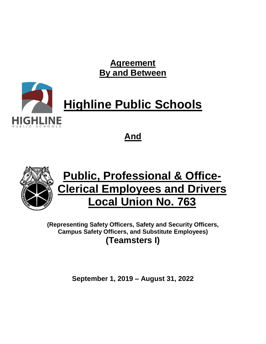**Agreement By and Between**



**And**



# **Public, Professional & Office-Clerical Employees and Drivers Local Union No. 763**

**(Representing Safety Officers, Safety and Security Officers, Campus Safety Officers, and Substitute Employees) (Teamsters I)**

**September 1, 2019 – August 31, 2022**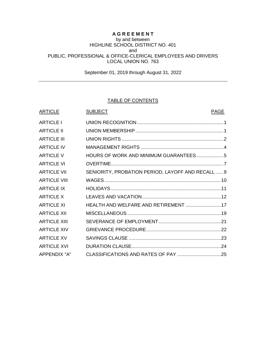# **A G R E E M E N T**

#### by and between HIGHLINE SCHOOL DISTRICT NO. 401 and PUBLIC, PROFESSIONAL & OFFICE-CLERICAL EMPLOYEES AND DRIVERS LOCAL UNION NO. 763

September 01, 2019 through August 31, 2022

## TABLE OF CONTENTS

| <b>ARTICLE</b>      | <b>SUBJECT</b>                                   | <b>PAGE</b> |
|---------------------|--------------------------------------------------|-------------|
| <b>ARTICLE I</b>    |                                                  |             |
| <b>ARTICLE II</b>   |                                                  |             |
| <b>ARTICLE III</b>  |                                                  |             |
| <b>ARTICLE IV</b>   |                                                  |             |
| <b>ARTICLE V</b>    |                                                  |             |
| <b>ARTICLE VI</b>   |                                                  |             |
| <b>ARTICLE VII</b>  | SENIORITY, PROBATION PERIOD, LAYOFF AND RECALL 9 |             |
| <b>ARTICLE VIII</b> |                                                  |             |
| <b>ARTICLE IX</b>   |                                                  |             |
| <b>ARTICLE X</b>    |                                                  |             |
| <b>ARTICLE XI</b>   | HEALTH AND WELFARE AND RETIREMENT  17            |             |
| <b>ARTICLE XII</b>  |                                                  |             |
| <b>ARTICLE XIII</b> |                                                  |             |
| <b>ARTICLE XIV</b>  |                                                  |             |
| <b>ARTICLE XV</b>   |                                                  |             |
| <b>ARTICLE XVI</b>  |                                                  |             |
| <b>APPENDIX "A"</b> |                                                  |             |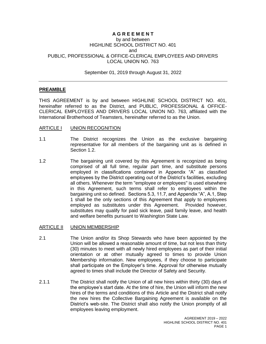# **A G R E E M E N T**

#### by and between HIGHLINE SCHOOL DISTRICT NO. 401 and PUBLIC, PROFESSIONAL & OFFICE-CLERICAL EMPLOYEES AND DRIVERS LOCAL UNION NO. 763

September 01, 2019 through August 31, 2022

## **PREAMBLE**

THIS AGREEMENT is by and between HIGHLINE SCHOOL DISTRICT NO. 401, hereinafter referred to as the District, and PUBLIC, PROFESSIONAL & OFFICE-CLERICAL EMPLOYEES AND DRIVERS LOCAL UNION NO. 763, affiliated with the International Brotherhood of Teamsters, hereinafter referred to as the Union.

### <span id="page-2-0"></span>ARTICLE I UNION RECOGNITION

- 1.1 The District recognizes the Union as the exclusive bargaining representative for all members of the bargaining unit as is defined in Section 1.2.
- 1.2 The bargaining unit covered by this Agreement is recognized as being comprised of all full time, regular part time, and substitute persons employed in classifications contained in Appendix "A" as classified employees by the District operating out of the District's facilities, excluding all others. Whenever the term "employee or employees" is used elsewhere in this Agreement, such terms shall refer to employees within the bargaining unit so defined. Sections 5.3, 11.7, and Appendix "A", A.1, Step 1 shall be the only sections of this Agreement that apply to employees employed as substitutes under this Agreement. Provided however, substitutes may qualify for paid sick leave, paid family leave, and health and welfare benefits pursuant to Washington State Law.

### <span id="page-2-1"></span>ARTICLE II UNION MEMBERSHIP

- 2.1 The Union and/or its Shop Stewards who have been appointed by the Union will be allowed a reasonable amount of time, but not less than thirty (30) minutes to meet with all newly hired employees as part of their initial orientation or at other mutually agreed to times to provide Union Membership information. New employees, if they choose to participate shall participate on the Employer's time. Approval for otherwise mutually agreed to times shall include the Director of Safety and Security.
- 2.1.1 The District shall notify the Union of all new hires within thirty (30) days of the employee's start date. At the time of hire, the Union will inform the new hires of the terms and conditions of this Article and the District shall notify the new hires the Collective Bargaining Agreement is available on the District's web-site. The District shall also notify the Union promptly of all employees leaving employment.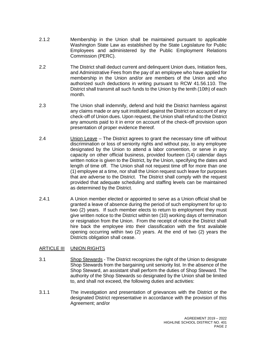- 2.1.2 Membership in the Union shall be maintained pursuant to applicable Washington State Law as established by the State Legislature for Public Employees and administered by the Public Employment Relations Commission (PERC).
- 2.2 The District shall deduct current and delinquent Union dues, Initiation fees, and Administrative Fees from the pay of an employee who have applied for membership in the Union and/or are members of the Union and who authorized such deductions in writing pursuant to RCW 41.56.110. The District shall transmit all such funds to the Union by the tenth (10th) of each month.
- 2.3 The Union shall indemnify, defend and hold the District harmless against any claims made or any suit instituted against the District on account of any check-off of Union dues. Upon request, the Union shall refund to the District any amounts paid to it in error on account of the check-off provision upon presentation of proper evidence thereof.
- 2.4 Union Leave The District agrees to grant the necessary time off without discrimination or loss of seniority rights and without pay, to any employee designated by the Union to attend a labor convention, or serve in any capacity on other official business, provided fourteen (14) calendar days written notice is given to the District, by the Union, specifying the dates and length of time off. The Union shall not request time off for more than one (1) employee at a time, nor shall the Union request such leave for purposes that are adverse to the District. The District shall comply with the request provided that adequate scheduling and staffing levels can be maintained as determined by the District.
- 2.4.1 A Union member elected or appointed to serve as a Union official shall be granted a leave of absence during the period of such employment for up to two (2) years. If such member elects to return to employment they must give written notice to the District within ten (10) working days of termination or resignation from the Union. From the receipt of notice the District shall hire back the employee into their classification with the first available opening occurring within two (2) years. At the end of two (2) years the Districts obligation shall cease.

# <span id="page-3-0"></span>ARTICLE III UNION RIGHTS

- 3.1 Shop Stewards The District recognizes the right of the Union to designate Shop Stewards from the bargaining unit seniority list. In the absence of the Shop Steward, an assistant shall perform the duties of Shop Steward. The authority of the Shop Stewards so designated by the Union shall be limited to, and shall not exceed, the following duties and activities:
- 3.1.1 The investigation and presentation of grievances with the District or the designated District representative in accordance with the provision of this Agreement; and/or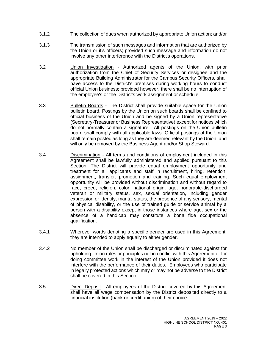- 3.1.2 The collection of dues when authorized by appropriate Union action; and/or
- 3.1.3 The transmission of such messages and information that are authorized by the Union or it's officers; provided such message and information do not involve any other interference with the District's operations.
- 3.2 Union Investigation Authorized agents of the Union, with prior authorization from the Chief of Security Services or designee and the appropriate Building Administrator for the Campus Security Officers, shall have access to the District's premises during working hours to conduct official Union business; provided however, there shall be no interruption of the employee's or the District's work assignment or schedule.
- 3.3 Bulletin Boards The District shall provide suitable space for the Union bulletin board. Postings by the Union on such boards shall be confined to official business of the Union and be signed by a Union representative (Secretary-Treasurer or Business Representative) except for notices which do not normally contain a signature. All postings on the Union bulletin board shall comply with all applicable laws. Official postings of the Union shall remain posted as long as they are deemed relevant by the Union, and will only be removed by the Business Agent and/or Shop Steward.
- 3.4 Discrimination All terms and conditions of employment included in this Agreement shall be lawfully administered and applied pursuant to this Section. The District will provide equal employment opportunity and treatment for all applicants and staff in recruitment, hiring, retention, assignment, transfer, promotion and training. Such equal employment opportunity will be provided without discrimination and without regard to race, creed, religion, color, national origin, age, honorable-discharged veteran or military status, sex, sexual orientation, including gender expression or identity, marital status, the presence of any sensory, mental of physical disability, or the use of trained guide or service animal by a person with a disability except in those instances where age, sex or the absence of a handicap may constitute a bona fide occupational qualification.
- 3.4.1 Wherever words denoting a specific gender are used in this Agreement, they are intended to apply equally to either gender.
- 3.4.2 No member of the Union shall be discharged or discriminated against for upholding Union rules or principles not in conflict with this Agreement or for doing committee work in the interest of the Union provided it does not interfere with the performance of their duties. Employees who participate in legally protected actions which may or may not be adverse to the District shall be covered in this Section.
- 3.5 Direct Deposit All employees of the District covered by this Agreement shall have all wage compensation by the District deposited directly to a financial institution (bank or credit union) of their choice.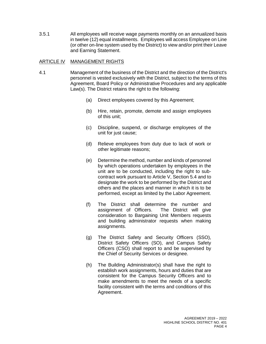3.5.1 All employees will receive wage payments monthly on an annualized basis in twelve (12) equal installments. Employees will access Employee on Line (or other on-line system used by the District) to view and/or print their Leave and Earning Statement.

### <span id="page-5-0"></span>ARTICLE IV MANAGEMENT RIGHTS

- <span id="page-5-1"></span>4.1 Management of the business of the District and the direction of the District's personnel is vested exclusively with the District, subject to the terms of this Agreement, Board Policy or Administrative Procedures and any applicable Law(s). The District retains the right to the following:
	- (a) Direct employees covered by this Agreement;
	- (b) Hire, retain, promote, demote and assign employees of this unit;
	- (c) Discipline, suspend, or discharge employees of the unit for just cause;
	- (d) Relieve employees from duty due to lack of work or other legitimate reasons;
	- (e) Determine the method, number and kinds of personnel by which operations undertaken by employees in the unit are to be conducted, including the right to subcontract work pursuant to Article V, Section 5.4 and to designate the work to be performed by the District and others and the places and manner in which it is to be performed, except as limited by the Labor Agreement.
	- (f) The District shall determine the number and assignment of Officers. The District will give consideration to Bargaining Unit Members requests and building administrator requests when making assignments.
	- (g) The District Safety and Security Officers (SSO), District Safety Officers (SO), and Campus Safety Officers (CSO) shall report to and be supervised by the Chief of Security Services or designee.
	- (h) The Building Administrator(s) shall have the right to establish work assignments, hours and duties that are consistent for the Campus Security Officers and to make amendments to meet the needs of a specific facility consistent with the terms and conditions of this Agreement.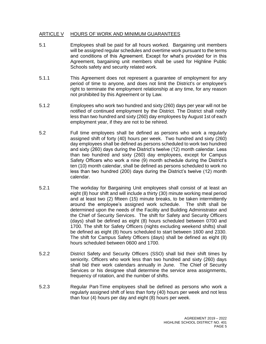## ARTICLE V HOURS OF WORK AND MINIMUM GUARANTEES

- 5.1 Employees shall be paid for all hours worked. Bargaining unit members will be assigned regular schedules and overtime work pursuant to the terms and conditions of this Agreement. Except for what's provided for in this Agreement, bargaining unit members shall be used for Highline Public Schools safety and security related work.
- 5.1.1 This Agreement does not represent a guarantee of employment for any period of time to anyone, and does not limit the District's or employee's right to terminate the employment relationship at any time, for any reason not prohibited by this Agreement or by Law.
- 5.1.2 Employees who work two hundred and sixty (260) days per year will not be notified of continued employment by the District. The District shall notify less than two hundred and sixty (260) day employees by August 1st of each employment year, if they are not to be rehired.
- 5.2 Full time employees shall be defined as persons who work a regularly assigned shift of forty (40) hours per week. Two hundred and sixty (260) day employees shall be defined as persons scheduled to work two hundred and sixty (260) days during the District's twelve (12) month calendar. Less than two hundred and sixty (260) day employees, except for Campus Safety Officers who work a nine (9) month schedule during the District's ten (10) month calendar, shall be defined as persons scheduled to work no less than two hundred (200) days during the District's twelve (12) month calendar.
- 5.2.1 The workday for Bargaining Unit employees shall consist of at least an eight (8) hour shift and will include a thirty (30) minute working meal period and at least two (2) fifteen (15) minute breaks, to be taken intermittently around the employee's assigned work schedule. The shift shall be determined upon the needs of the Facility and Building Administrator and the Chief of Security Services. The shift for Safety and Security Officers (days) shall be defined as eight (8) hours scheduled between 0700 and 1700. The shift for Safety Officers (nights excluding weekend shifts) shall be defined as eight (8) hours scheduled to start between 1600 and 2330. The shift for Campus Safety Officers (days) shall be defined as eight (8) hours scheduled between 0600 and 1700.
- 5.2.2 District Safety and Security Officers (SSO) shall bid their shift times by seniority. Officers who work less than two hundred and sixty (260) days shall bid their work calendars annually in June. The Chief of Security Services or his designee shall determine the service area assignments, frequency of rotation, and the number of shifts.
- 5.2.3 Regular Part-Time employees shall be defined as persons who work a regularly assigned shift of less than forty (40) hours per week and not less than four (4) hours per day and eight (8) hours per week.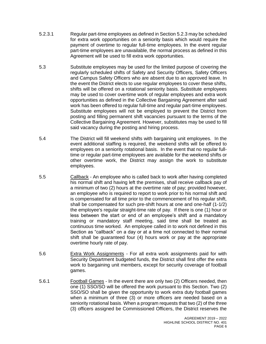- 5.2.3.1 Regular part-time employees as defined in Section 5.2.3 may be scheduled for extra work opportunities on a seniority basis which would require the payment of overtime to regular full-time employees. In the event regular part-time employees are unavailable, the normal process as defined in this Agreement will be used to fill extra work opportunities.
- 5.3 Substitute employees may be used for the limited purpose of covering the regularly scheduled shifts of Safety and Security Officers, Safety Officers and Campus Safety Officers who are absent due to an approved leave. In the event the District elects to use regular employees to cover these shifts, shifts will be offered on a rotational seniority basis. Substitute employees may be used to cover overtime work of regular employees and extra work opportunities as defined in the Collective Bargaining Agreement after said work has been offered to regular full-time and regular part-time employees. Substitute employees will not be employed to prevent the District from posting and filling permanent shift vacancies pursuant to the terms of the Collective Bargaining Agreement. However, substitutes may be used to fill said vacancy during the posting and hiring process.
- 5.4 The District will fill weekend shifts with bargaining unit employees. In the event additional staffing is required, the weekend shifts will be offered to employees on a seniority rotational basis. In the event that no regular fulltime or regular part-time employees are available for the weekend shifts or other overtime work, the District may assign the work to substitute employees.
- 5.5 Callback An employee who is called back to work after having completed his normal shift and having left the premises, shall receive callback pay of a minimum of two (2) hours at the overtime rate of pay; provided however, an employee who is required to report to work prior to his normal shift and is compensated for all time prior to the commencement of his regular shift, shall be compensated for such pre-shift hours at one and one-half (1-1/2) the employee's regular straight-time rate of pay. If there is one (1) hour or less between the start or end of an employee's shift and a mandatory training or mandatory staff meeting, said time shall be treated as continuous time worked. An employee called in to work not defined in this Section as "callback" on a day or at a time not connected to their normal shift shall be guaranteed four (4) hours work or pay at the appropriate overtime hourly rate of pay.
- 5.6 Extra Work Assignments For all extra work assignments paid for with Security Department budgeted funds, the District shall first offer the extra work to bargaining unit members, except for security coverage of football games.
- 5.6.1 Football Games In the event there are only two (2) Officers needed, then one (1) SSO/SO will be offered the work pursuant to this Section. Two (2) SSO/SO shall be given the opportunity to work extra duty football games when a minimum of three (3) or more officers are needed based on a seniority rotational basis. When a program requests that two (2) of the three (3) officers assigned be Commissioned Officers, the District reserves the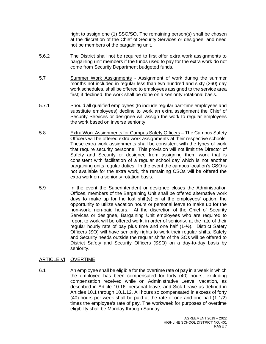right to assign one (1) SSO/SO. The remaining person(s) shall be chosen at the discretion of the Chief of Security Services or designee, and need not be members of the bargaining unit.

- 5.6.2 The District shall not be required to first offer extra work assignments to bargaining unit members if the funds used to pay for the extra work do not come from Security Department budgeted funds.
- 5.7 Summer Work Assignments Assignment of work during the summer months not included in regular less than two hundred and sixty (260) day work schedules, shall be offered to employees assigned to the service area first; if declined, the work shall be done on a seniority rotational basis.
- 5.7.1 Should all qualified employees (to include regular part-time employees and substitute employees) decline to work an extra assignment the Chief of Security Services or designee will assign the work to regular employees the work based on inverse seniority.
- 5.8 Extra Work Assignments for Campus Safety Officers The Campus Safety Officers will be offered extra work assignments at their respective schools. These extra work assignments shall be consistent with the types of work that require security personnel. This provision will not limit the Director of Safety and Security or designee from assigning them work that is consistent with facilitation of a regular school day which is not another bargaining units regular duties. In the event the campus location's CSO is not available for the extra work, the remaining CSOs will be offered the extra work on a seniority rotation basis.
- 5.9 In the event the Superintendent or designee closes the Administration Offices, members of the Bargaining Unit shall be offered alternative work days to make up for the lost shift(s) or at the employees' option, the opportunity to utilize vacation hours or personal leave to make up for the non-work, non-paid hours. At the discretion of the Chief of Security Services or designee, Bargaining Unit employees who are required to report to work will be offered work, in order of seniority, at the rate of their regular hourly rate of pay plus time and one half (1-½). District Safety Officers (SO) will have seniority rights to work their regular shifts. Safety and Security needs outside the regular shifts of the SOs will be offered to District Safety and Security Officers (SSO) on a day-to-day basis by seniority.

# <span id="page-8-0"></span>ARTICLE VI OVERTIME

6.1 An employee shall be eligible for the overtime rate of pay in a week in which the employee has been compensated for forty (40) hours, excluding compensation received while on Administrative Leave, vacation, as described in Article 10.16, personal leave, and Sick Leave as defined in Articles 10.1 through 10.1.12. All hours so compensated in excess of forty (40) hours per week shall be paid at the rate of one and one-half (1-1/2) times the employee's rate of pay. The workweek for purposes of overtime eligibility shall be Monday through Sunday.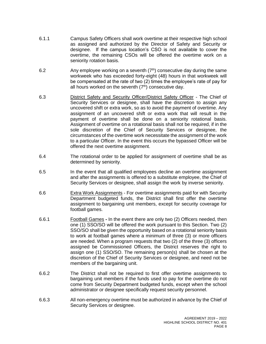- 6.1.1 Campus Safety Officers shall work overtime at their respective high school as assigned and authorized by the Director of Safety and Security or designee. If the campus location's CSO is not available to cover the overtime, the remaining CSOs will be offered the overtime work on a seniority rotation basis.
- 6.2 Any employee working on a seventh  $(7<sup>th</sup>)$  consecutive day during the same workweek who has exceeded forty-eight (48) hours in that workweek will be compensated at the rate of two (2) times the employee's rate of pay for all hours worked on the seventh  $(7<sup>th</sup>)$  consecutive day.
- 6.3 District Safety and Security Officer/District Safety Officer The Chief of Security Services or designee, shall have the discretion to assign any uncovered shift or extra work, so as to avoid the payment of overtime. Any assignment of an uncovered shift or extra work that will result in the payment of overtime shall be done on a seniority rotational basis. Assignment of overtime on a rotational basis shall not be required, if in the sole discretion of the Chief of Security Services or designee, the circumstances of the overtime work necessitate the assignment of the work to a particular Officer. In the event this occurs the bypassed Officer will be offered the next overtime assignment.
- 6.4 The rotational order to be applied for assignment of overtime shall be as determined by seniority.
- 6.5 In the event that all qualified employees decline an overtime assignment and after the assignments is offered to a substitute employee, the Chief of Security Services or designee, shall assign the work by inverse seniority.
- 6.6 **Extra Work Assignments** For overtime assignments paid for with Security Department budgeted funds, the District shall first offer the overtime assignment to bargaining unit members, except for security coverage for football games.
- 6.6.1 Football Games **-** In the event there are only two (2) Officers needed, then one (1) SSO/SO will be offered the work pursuant to this Section. Two (2) SSO/SO shall be given the opportunity based on a rotational seniority basis to work at football games where a minimum of three (3) or more officers are needed. When a program requests that two (2) of the three (3) officers assigned be Commissioned Officers, the District reserves the right to assign one (1) SSO/SO. The remaining person(s) shall be chosen at the discretion of the Chief of Security Services or designee, and need not be members of the bargaining unit.
- 6.6.2 The District shall not be required to first offer overtime assignments to bargaining unit members if the funds used to pay for the overtime do not come from Security Department budgeted funds, except when the school administrator or designee specifically request security personnel.
- 6.6.3 All non-emergency overtime must be authorized in advance by the Chief of Security Services or designee.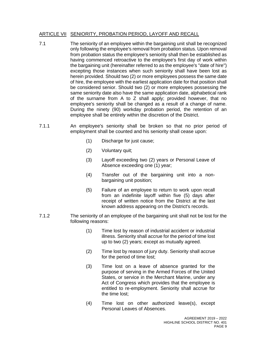## <span id="page-10-0"></span>ARTICLE VII SENIORITY, PROBATION PERIOD, LAYOFF AND RECALL

- 7.1 The seniority of an employee within the bargaining unit shall be recognized only following the employee's removal from probation status. Upon removal from probation status the employee's seniority shall then be established as having commenced retroactive to the employee's first day of work within the bargaining unit (hereinafter referred to as the employee's "date of hire") excepting those instances when such seniority shall have been lost as herein provided. Should two (2) or more employees possess the same date of hire, the employee with the earliest application date for that position shall be considered senior. Should two (2) or more employees possessing the same seniority date also have the same application date, alphabetical rank of the surname from A to Z shall apply; provided however, that no employee's seniority shall be changed as a result of a change of name. During the ninety (90) workday probation period, the retention of an employee shall be entirely within the discretion of the District.
- 7.1.1 An employee's seniority shall be broken so that no prior period of employment shall be counted and his seniority shall cease upon:
	- (1) Discharge for just cause;
	- (2) Voluntary quit;
	- (3) Layoff exceeding two (2) years or Personal Leave of Absence exceeding one (1) year;
	- (4) Transfer out of the bargaining unit into a nonbargaining unit position;
	- (5) Failure of an employee to return to work upon recall from an indefinite layoff within five (5) days after receipt of written notice from the District at the last known address appearing on the District's records.
- 7.1.2 The seniority of an employee of the bargaining unit shall not be lost for the following reasons:
	- (1) Time lost by reason of industrial accident or industrial illness. Seniority shall accrue for the period of time lost up to two (2) years; except as mutually agreed.
	- (2) Time lost by reason of jury duty. Seniority shall accrue for the period of time lost;
	- (3) Time lost on a leave of absence granted for the purpose of serving in the Armed Forces of the United States, or service in the Merchant Marine, under any Act of Congress which provides that the employee is entitled to re-employment. Seniority shall accrue for the time lost;
	- (4) Time lost on other authorized leave(s), except Personal Leaves of Absences.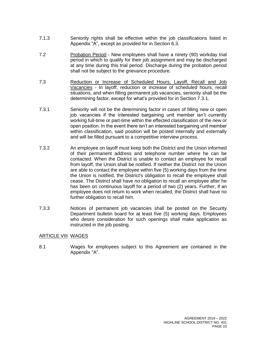- 7.1.3 Seniority rights shall be effective within the job classifications listed in Appendix "A", except as provided for in Section 6.3.
- 7.2 Probation Period New employees shall have a ninety (90) workday trial period in which to qualify for their job assignment and may be discharged at any time during this trial period. Discharge during the probation period shall not be subject to the grievance procedure.
- 7.3 Reduction or Increase of Scheduled Hours, Layoff, Recall and Job Vacancies - In layoff, reduction or increase of scheduled hours, recall situations, and when filling permanent job vacancies, seniority shall be the determining factor, except for what's provided for in Section 7.3.1.
- 7.3.1 Seniority will not be the determining factor in cases of filling new or open job vacancies if the interested bargaining unit member isn't currently working full-time or part-time within the effected classification of the new or open position. In the event there isn't an interested bargaining unit member within classification, said position will be posted internally and externally and will be filled pursuant to a competitive interview process.
- 7.3.2 An employee on layoff must keep both the District and the Union informed of their permanent address and telephone number where he can be contacted. When the District is unable to contact an employee for recall from layoff, the Union shall be notified. If neither the District nor the Union are able to contact the employee within five (5) working days from the time the Union is notified, the District's obligation to recall the employee shall cease. The District shall have no obligation to recall an employee after he has been on continuous layoff for a period of two (2) years. Further, if an employee does not return to work when recalled, the District shall have no further obligation to recall him.
- 7.3.3 Notices of permanent job vacancies shall be posted on the Security Department bulletin board for at least five (5) working days. Employees who desire consideration for such openings shall make application as instructed in the job posting.

### <span id="page-11-0"></span>ARTICLE VIII WAGES

<span id="page-11-1"></span>8.1 Wages for employees subject to this Agreement are contained in the Appendix "A".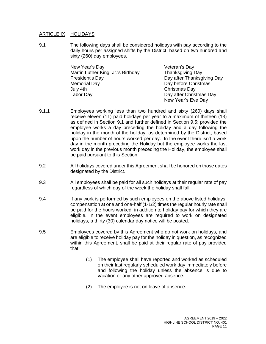#### ARTICLE IX HOLIDAYS

9.1 The following days shall be considered holidays with pay according to the daily hours per assigned shifts by the District, based on two hundred and sixty (260) day employees.

| New Year's Day                     | Veteran's Day              |  |  |
|------------------------------------|----------------------------|--|--|
| Martin Luther King, Jr.'s Birthday | <b>Thanksgiving Day</b>    |  |  |
| President's Day                    | Day after Thanksgiving Day |  |  |
| <b>Memorial Day</b>                | Day before Christmas       |  |  |
| July 4th                           | Christmas Day              |  |  |
| Labor Day                          | Day after Christmas Day    |  |  |
|                                    | New Year's Eve Day         |  |  |

- 9.1.1 Employees working less than two hundred and sixty (260) days shall receive eleven (11) paid holidays per year to a maximum of thirteen (13) as defined in Section 9.1 and further defined in Section 9.5; provided the employee works a day preceding the holiday and a day following the holiday in the month of the holiday, as determined by the District, based upon the number of hours worked per day. In the event there isn't a work day in the month preceding the Holiday but the employee works the last work day in the previous month preceding the Holiday, the employee shall be paid pursuant to this Section.
- 9.2 All holidays covered under this Agreement shall be honored on those dates designated by the District.
- 9.3 All employees shall be paid for all such holidays at their regular rate of pay regardless of which day of the week the holiday shall fall.
- 9.4 **If any work is performed by such employees on the above listed holidays,** compensation at one and one-half (1-1/2) times the regular hourly rate shall be paid for the hours worked, in addition to holiday pay for which they are eligible. In the event employees are required to work on designated holidays, a thirty (30) calendar day notice will be posted.
- <span id="page-12-0"></span>9.5 Employees covered by this Agreement who do not work on holidays, and are eligible to receive holiday pay for the holiday in question, as recognized within this Agreement, shall be paid at their regular rate of pay provided that:
	- (1) The employee shall have reported and worked as scheduled on their last regularly scheduled work day immediately before and following the holiday unless the absence is due to vacation or any other approved absence.
	- (2) The employee is not on leave of absence.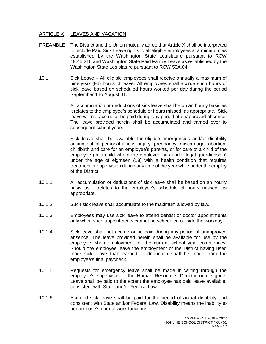## ARTICLE X LEAVES AND VACATION

- PREAMBLE The District and the Union mutually agree that Article X shall be interpreted to include Paid Sick Leave rights to all eligible employees at a minimum as established by the Washington State Legislature pursuant to RCW 49.46.210 and Washington State Paid Family Leave as established by the Washington State Legislature pursuant to RCW 50A.04.
- 10.1 Sick Leave All eligible employees shall receive annually a maximum of ninety-six (96) hours of leave. All employees shall accrue such hours of sick leave based on scheduled hours worked per day during the period September 1 to August 31.

All accumulation or deductions of sick leave shall be on an hourly basis as it relates to the employee's schedule or hours missed, as appropriate. Sick leave will not accrue or be paid during any period of unapproved absence. The leave provided herein shall be accumulated and carried over to subsequent school years.

Sick leave shall be available for eligible emergencies and/or disability arising out of personal illness, injury, pregnancy, miscarriage, abortion, childbirth and care for an employee's parents, or for care of a child of the employee (or a child whom the employee has under legal guardianship) under the age of eighteen (18) with a health condition that requires treatment or supervision during any time of the year while under the employ of the District.

- 10.1.1 All accumulation or deductions of sick leave shall be based on an hourly basis as it relates to the employee's schedule of hours missed, as appropriate.
- 10.1.2 Such sick leave shall accumulate to the maximum allowed by law.
- 10.1.3 Employees may use sick leave to attend dentist or doctor appointments only when such appointments cannot be scheduled outside the workday.
- 10.1.4 Sick leave shall not accrue or be paid during any period of unapproved absence. The leave provided herein shall be available for use by the employee when employment for the current school year commences. Should the employee leave the employment of the District having used more sick leave than earned, a deduction shall be made from the employee's final paycheck.
- 10.1.5 Requests for emergency leave shall be made in writing through the employee's supervisor to the Human Resources Director or designee. Leave shall be paid to the extent the employee has paid leave available, consistent with State and/or Federal Law.
- 10.1.6 Accrued sick leave shall be paid for the period of actual disability and consistent with State and/or Federal Law. Disability means the inability to perform one's normal work functions.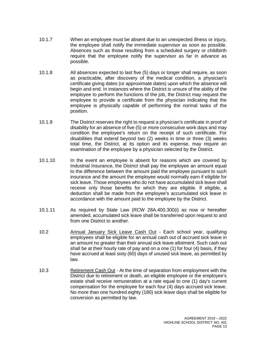- 10.1.7 When an employee must be absent due to an unexpected illness or injury, the employee shall notify the immediate supervisor as soon as possible. Absences such as those resulting from a scheduled surgery or childbirth require that the employee notify the supervisor as far in advance as possible.
- 10.1.8 All absences expected to last five (5) days or longer shall require, as soon as practicable, after discovery of the medical condition, a physician's certificate giving dates (or approximate dates) upon which the absence will begin and end. In instances where the District is unsure of the ability of the employee to perform the functions of the job, the District may request the employee to provide a certificate from the physician indicating that the employee is physically capable of performing the normal tasks of the position.
- 10.1.9 The District reserves the right to request a physician's certificate in proof of disability for an absence of five (5) or more consecutive work days and may condition the employee's return on the receipt of such certificate. For disabilities that extend beyond two (2) weeks in time or three (3) weeks total time, the District, at its option and its expense, may require an examination of the employee by a physician selected by the District.
- 10.1.10 In the event an employee is absent for reasons which are covered by Industrial Insurance, the District shall pay the employee an amount equal to the difference between the amount paid the employee pursuant to such insurance and the amount the employee would normally earn if eligible for sick leave. Those employees who do not have accumulated sick leave shall receive only those benefits for which they are eligible. If eligible, a deduction shall be made from the employee's accumulated sick leave in accordance with the amount paid to the employee by the District.
- 10.1.11 As required by State Law (RCW 28A.400.300(i) as now or hereafter amended, accumulated sick leave shall be transferred upon request to and from one District to another.
- 10.2 Annual January Sick Leave Cash Out Each school year, qualifying employees shall be eligible for an annual cash out of accrued sick leave in an amount no greater than their annual sick leave allotment. Such cash out shall be at their hourly rate of pay and on a one (1) for four (4) basis, if they have accrued at least sixty (60) days of unused sick leave, as permitted by law.
- 10.3 Retirement Cash Out At the time of separation from employment with the District due to retirement or death, an eligible employee or the employee's estate shall receive remuneration at a rate equal to one (1) day's current compensation for the employee for each four (4) days accrued sick leave. No more than one hundred eighty (180) sick leave days shall be eligible for conversion as permitted by law.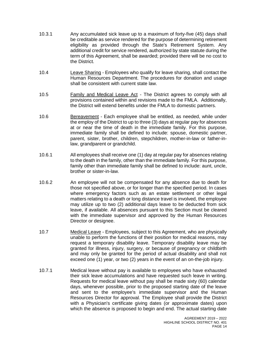- 10.3.1 Any accumulated sick leave up to a maximum of forty-five (45) days shall be creditable as service rendered for the purpose of determining retirement eligibility as provided through the State's Retirement System. Any additional credit for service rendered, authorized by state statute during the term of this Agreement, shall be awarded; provided there will be no cost to the District.
- 10.4 Leave Sharing Employees who qualify for leave sharing, shall contact the Human Resources Department. The procedures for donation and usage shall be consistent with current state law.
- 10.5 Family and Medical Leave Act The District agrees to comply with all provisions contained within and revisions made to the FMLA. Additionally, the District will extend benefits under the FMLA to domestic partners.
- 10.6 Bereavement Each employee shall be entitled, as needed, while under the employ of the District to up to three (3) days at regular pay for absences at or near the time of death in the immediate family. For this purpose, immediate family shall be defined to include: spouse, domestic partner, parent, sister, brother, children, stepchildren, mother-in-law or father-inlaw, grandparent or grandchild.
- 10.6.1 All employees shall receive one (1) day at regular pay for absences relating to the death in the family, other than the immediate family. For this purpose, family other than immediate family shall be defined to include: aunt, uncle, brother or sister-in-law.
- 10.6.2 An employee will not be compensated for any absence due to death for those not specified above, or for longer than the specified period. In cases where emergency factors such as an estate settlement or other legal matters relating to a death or long distance travel is involved, the employee may utilize up to two (2) additional days leave to be deducted from sick leave, if available. All absences pursuant to this Section must be cleared with the immediate supervisor and approved by the Human Resources Director or designee.
- 10.7 Medical Leave Employees, subject to this Agreement, who are physically unable to perform the functions of their position for medical reasons, may request a temporary disability leave. Temporary disability leave may be granted for illness, injury, surgery, or because of pregnancy or childbirth and may only be granted for the period of actual disability and shall not exceed one (1) year, or two (2) years in the event of an on-the-job injury.
- 10.7.1 Medical leave without pay is available to employees who have exhausted their sick leave accumulations and have requested such leave in writing. Requests for medical leave without pay shall be made sixty (60) calendar days, whenever possible, prior to the proposed starting date of the leave and sent to the employee's immediate supervisor and the Human Resources Director for approval. The Employee shall provide the District with a Physician's certificate giving dates (or approximate dates) upon which the absence is proposed to begin and end. The actual starting date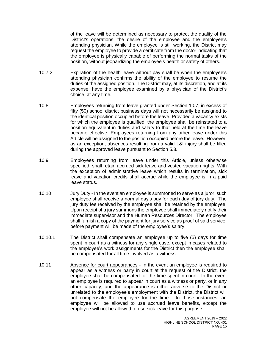of the leave will be determined as necessary to protect the quality of the District's operations, the desire of the employee and the employee's attending physician. While the employee is still working, the District may request the employee to provide a certificate from the doctor indicating that the employee is physically capable of performing the normal tasks of the position, without jeopardizing the employee's health or safety of others.

- 10.7.2 Expiration of the health leave without pay shall be when the employee's attending physician confirms the ability of the employee to resume the duties of the assigned position. The District may, at its discretion, and at its expense, have the employee examined by a physician of the District's choice, at any time.
- 10.8 Employees returning from leave granted under Section 10.7, in excess of fifty (50) school district business days will not necessarily be assigned to the identical position occupied before the leave. Provided a vacancy exists for which the employee is qualified, the employee shall be reinstated to a position equivalent in duties and salary to that held at the time the leave became effective. Employees returning from any other leave under this Article will be assigned to the position occupied before the leave. However; as an exception, absences resulting from a valid L&I injury shall be filled during the approved leave pursuant to Section 5.3.
- 10.9 Employees returning from leave under this Article, unless otherwise specified, shall retain accrued sick leave and vested vacation rights. With the exception of administrative leave which results in termination, sick leave and vacation credits shall accrue while the employee is in a paid leave status.
- 10.10 Jury Duty In the event an employee is summoned to serve as a juror, such employee shall receive a normal day's pay for each day of jury duty. The jury duty fee received by the employee shall be retained by the employee. Upon receipt of a jury summons the employee shall immediately notify their immediate supervisor and the Human Resources Director. The employee shall furnish a copy of the payment for jury service as proof of said service, before payment will be made of the employee's salary.
- 10.10.1 The District shall compensate an employee up to five (5) days for time spent in court as a witness for any single case, except in cases related to the employee's work assignments for the District then the employee shall be compensated for all time involved as a witness.
- 10.11 Absence for court appearances In the event an employee is required to appear as a witness or party in court at the request of the District, the employee shall be compensated for the time spent in court. In the event an employee is required to appear in court as a witness or party, or in any other capacity, and the appearance is either adverse to the District or unrelated to the employee's employment with the District, the District will not compensate the employee for the time. In those instances, an employee will be allowed to use accrued leave benefits, except the employee will not be allowed to use sick leave for this purpose.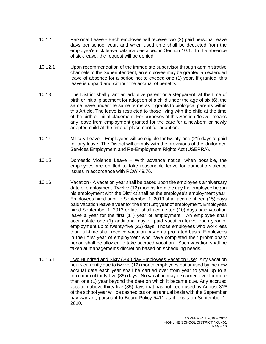- 10.12 Personal Leave Each employee will receive two (2) paid personal leave days per school year, and when used time shall be deducted from the employee's sick leave balance described in Section 10.1. In the absence of sick leave, the request will be denied.
- 10.12.1 Upon recommendation of the immediate supervisor through administrative channels to the Superintendent, an employee may be granted an extended leave of absence for a period not to exceed one (1) year. If granted, this leave is unpaid and without the accrual of benefits.
- 10.13 The District shall grant an adoptive parent or a stepparent, at the time of birth or initial placement for adoption of a child under the age of six (6), the same leave under the same terms as it grants to biological parents within this Article. The leave is restricted to those living with the child at the time of the birth or initial placement. For purposes of this Section "leave" means any leave from employment granted for the care for a newborn or newly adopted child at the time of placement for adoption.
- 10.14 Military Leave Employees will be eligible for twenty-one (21) days of paid military leave. The District will comply with the provisions of the Uniformed Services Employment and Re-Employment Rights Act (USERRA).
- 10.15 Domestic Violence Leave With advance notice, when possible, the employees are entitled to take reasonable leave for domestic violence issues in accordance with RCW 49.76.
- 10.16 Vacation A vacation year shall be based upon the employee's anniversary date of employment. Twelve (12) months from the day the employee began his employment with the District shall be the employee's employment year. Employees hired prior to September 1, 2013 shall accrue fifteen (15) days paid vacation leave a year for the first (1st) year of employment. Employees hired September 1, 2013 or later shall accrue ten (10) days paid vacation leave a year for the first  $(1<sup>st</sup>)$  year of employment. An employee shall accumulate one (1) additional day of paid vacation leave each year of employment up to twenty-five (25) days. Those employees who work less than full-time shall receive vacation pay on a pro rated basis. Employees in their first year of employment who have completed their probationary period shall be allowed to take accrued vacation. Such vacation shall be taken at managements discretion based on scheduling needs.
- 10.16.1 Two Hundred and Sixty (260) day Employees Vacation Use:Any vacation hours currently due to twelve (12) month employees but unused by the new accrual date each year shall be carried over from year to year up to a maximum of thirty-five (35) days. No vacation may be carried over for more than one (1) year beyond the date on which it became due. Any accrued vacation above thirty-five (35) days that has not been used by August  $31<sup>st</sup>$ of the school year will be cashed out on an annual basis with the September pay warrant, pursuant to Board Policy 5411 as it exists on September 1, 2010.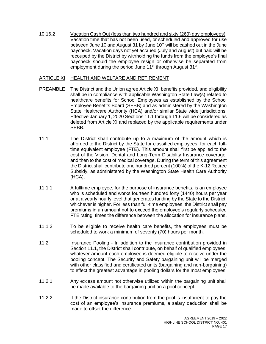10.16.2 Vacation Cash Out (less than two hundred and sixty (260) day employees): Vacation time that has not been used, or scheduled and approved for use between June 10 and August 31 by June  $10<sup>th</sup>$  will be cashed out in the June paycheck. Vacation days not yet accrued (July and August) but paid will be recouped by the District by withholding the funds from the employee's final paycheck should the employee resign or otherwise be separated from employment during the period June 11<sup>th</sup> through August 31<sup>st</sup>.

#### <span id="page-18-0"></span>ARTICLE XI HEALTH AND WELFARE AND RETIREMENT

- PREAMBLE The District and the Union agree Article XI, benefits provided, and eligibility shall be in compliance with applicable Washington State Law(s) related to healthcare benefits for School Employees as established by the School Employee Benefits Board (SEBB) and as administered by the Washington State Healthcare Authority (HCA) and/or similar State wide jurisdictions. Effective January 1, 2020 Sections 11.1 through 11.6 will be considered as deleted from Article XI and replaced by the applicable requirements under SEBB.
- 11.1 The District shall contribute up to a maximum of the amount which is afforded to the District by the State for classified employees, for each fulltime equivalent employee (FTE). This amount shall first be applied to the cost of the Vision, Dental and Long-Term Disability Insurance coverage, and then to the cost of medical coverage. During the term of this agreement the District shall contribute one hundred percent (100%) of the K-12 Retiree Subsidy, as administered by the Washington State Health Care Authority (HCA).
- 11.1.1 A fulltime employee, for the purpose of insurance benefits, is an employee who is scheduled and works fourteen hundred forty (1440) hours per year or at a yearly hourly level that generates funding by the State to the District, whichever is higher. For less than full-time employees, the District shall pay premiums in an amount not to exceed the employee's regularly scheduled FTE rating, times the difference between the allocation for insurance plans.
- 11.1.2 To be eligible to receive health care benefits, the employees must be scheduled to work a minimum of seventy (70) hours per month.
- 11.2 Insurance Pooling In addition to the insurance contribution provided in Section 11.1, the District shall contribute, on behalf of qualified employees, whatever amount each employee is deemed eligible to receive under the pooling concept. The Security and Safety bargaining unit will be merged with other classified and certificated units (bargaining and non-bargaining) to effect the greatest advantage in pooling dollars for the most employees.
- 11.2.1 Any excess amount not otherwise utilized within the bargaining unit shall be made available to the bargaining unit on a pool concept.
- 11.2.2 If the District insurance contribution from the pool is insufficient to pay the cost of an employee's insurance premiums, a salary deduction shall be made to offset the difference.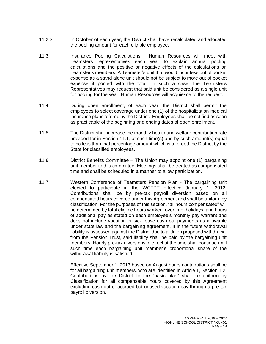- 11.2.3 In October of each year, the District shall have recalculated and allocated the pooling amount for each eligible employee.
- 11.3 Insurance Pooling Calculations: Human Resources will meet with Teamsters representatives each year to explain annual pooling calculations and the positive or negative effects of the calculations on Teamster's members. A Teamster's unit that would incur less out of pocket expense as a stand alone unit should not be subject to more out of pocket expense if pooled with the total. In such a case, the Teamster's Representatives may request that said unit be considered as a single unit for pooling for the year. Human Resources will acquiesce to the request.
- 11.4 During open enrollment, of each year, the District shall permit the employees to select coverage under one (1) of the hospitalization medical insurance plans offered by the District. Employees shall be notified as soon as practicable of the beginning and ending dates of open enrollment.
- 11.5 The District shall increase the monthly health and welfare contribution rate provided for in Section 11.1, at such time(s) and by such amount(s) equal to no less than that percentage amount which is afforded the District by the State for classified employees.
- 11.6 District Benefits Committee The Union may appoint one (1) bargaining unit member to this committee. Meetings shall be treated as compensated time and shall be scheduled in a manner to allow participation.
- 11.7 Western Conference of Teamsters Pension Plan The bargaining unit elected to participate in the WCTPT effective January 1, 2012. Contributions shall be by pre-tax payroll diversion based on all compensated hours covered under this Agreement and shall be uniform by classification. For the purposes of this section, "all hours compensated" will be determined by total eligible hours worked, overtime, holidays, and hours of additional pay as stated on each employee's monthly pay warrant and does not include vacation or sick leave cash out payments as allowable under state law and the bargaining agreement. If in the future withdrawal liability is assessed against the District due to a Union proposed withdrawal from the Pension Trust, said liability shall be paid by the bargaining unit members. Hourly pre-tax diversions in effect at the time shall continue until such time each bargaining unit member's proportional share of the withdrawal liability is satisfied.

Effective September 1, 2013 based on August hours contributions shall be for all bargaining unit members, who are identified in Article 1, Section 1.2. Contributions by the District to the "basic plan" shall be uniform by Classification for all compensable hours covered by this Agreement excluding cash out of accrued but unused vacation pay through a pre-tax payroll diversion.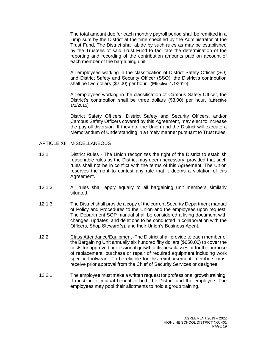The total amount due for each monthly payroll period shall be remitted in a lump sum by the District at the time specified by the Administrator of the Trust Fund. The District shall abide by such rules as may be established by the Trustees of said Trust Fund to facilitate the determination of the reporting and recording of the contribution amounts paid on account of each member of the bargaining unit.

All employees working in the classification of District Safety Officer (SO) and District Safety and Security Officer (SSO), the District's contribution shall be two dollars (\$2.00) per hour. (Effective 1/1/2019)

All employees working in the classification of Campus Safety Officer, the District's contribution shall be three dollars (\$3.00) per hour. (Effective 1/1/2015)

District Safety Officers, District Safety and Security Officers, and/or Campus Safety Officers covered by this Agreement, may elect to increase the payroll diversion. If they do, the Union and the District will execute a Memorandum of Understanding in a timely manner pursuant to Trust rules.

#### <span id="page-20-0"></span>ARTICLE XII MISCELLANEOUS

- 12.1 District Rules The Union recognizes the right of the District to establish reasonable rules as the District may deem necessary, provided that such rules shall not be in conflict with the terms of this Agreement. The Union reserves the right to contest any rule that it deems a violation of this Agreement.
- 12.1.2 All rules shall apply equally to all bargaining unit members similarly situated.
- 12.1.3 The District shall provide a copy of the current Security Department manual of Policy and Procedures to the Union and the employees upon request. The Department SOP manual shall be considered a living document with changes, updates, and deletions to be conducted in collaboration with the Officers, Shop Steward(s), and their Union's Business Agent.
- 12.2 Class Attendance/Equipment -The District shall provide to each member of the Bargaining Unit annually six hundred fifty dollars (\$650.00) to cover the costs for approved professional growth activities/classes or for the purpose of replacement, purchase or repair of required equipment including work specific footwear. To be eligible for this reimbursement, members must receive prior approval from the Chief of Security Services or designee.
- 12.2.1 The employee must make a written request for professional growth training. It must be of mutual benefit to both the District and the employee. The employees may pool their allotments to hold a group training.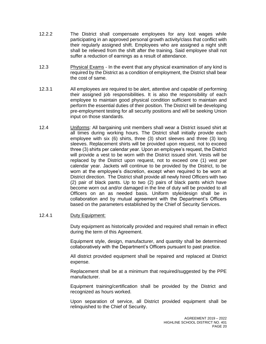- 12.2.2 The District shall compensate employees for any lost wages while participating in an approved personal growth activity/class that conflict with their regularly assigned shift. Employees who are assigned a night shift shall be relieved from the shift after the training. Said employee shall not suffer a reduction of earnings as a result of attendance.
- 12.3 Physical Exams In the event that any physical examination of any kind is required by the District as a condition of employment, the District shall bear the cost of same.
- 12.3.1 All employees are required to be alert, attentive and capable of performing their assigned job responsibilities. It is also the responsibility of each employee to maintain good physical condition sufficient to maintain and perform the essential duties of their position. The District will be developing pre-employment testing for all security positions and will be seeking Union input on those standards.
- 12.4 Uniforms: All bargaining unit members shall wear a District issued shirt at all times during working hours. The District shall initially provide each employee with six (6) shirts, three (3) short sleeves and three (3) long sleeves. Replacement shirts will be provided upon request, not to exceed three (3) shirts per calendar year. Upon an employee's request, the District will provide a vest to be worn with the District issued shirt. Vests will be replaced by the District upon request, not to exceed one (1) vest per calendar year. Jackets will continue to be provided by the District, to be worn at the employee's discretion, except when required to be worn at District direction. The District shall provide all newly hired Officers with two (2) pair of black pants. Up to two (2) pairs of black pants which have become worn out and/or damaged in the line of duty will be provided to all Officers on an as needed basis. Uniform style/design shall be in collaboration and by mutual agreement with the Department's Officers based on the parameters established by the Chief of Security Services.

## 12.4.1 Duty Equipment:

Duty equipment as historically provided and required shall remain in effect during the term of this Agreement.

Equipment style, design, manufacturer, and quantity shall be determined collaboratively with the Department's Officers pursuant to past practice.

All district provided equipment shall be repaired and replaced at District expense.

Replacement shall be at a minimum that required/suggested by the PPE manufacturer.

Equipment training/certification shall be provided by the District and recognized as hours worked.

Upon separation of service, all District provided equipment shall be relinquished to the Chief of Security.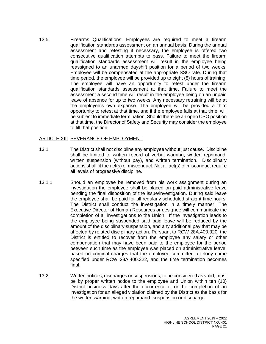12.5 Firearms Qualifications: Employees are required to meet a firearm qualification standards assessment on an annual basis. During the annual assessment and retesting if necessary, the employee is offered two consecutive qualification attempts to pass. Failure to meet the firearm qualification standards assessment will result in the employee being reassigned to an unarmed dayshift position for a period of two weeks. Employee will be compensated at the appropriate SSO rate. During that time period, the employee will be provided up to eight (8) hours of training. The employee will have an opportunity to retest under the firearm qualification standards assessment at that time. Failure to meet the assessment a second time will result in the employee being on an unpaid leave of absence for up to two weeks. Any necessary retraining will be at the employee's own expense. The employee will be provided a third opportunity to retest at that time, and if the employee fails at that time, will be subject to immediate termination. Should there be an open CSO position at that time, the Director of Safety and Security may consider the employee to fill that position.

### <span id="page-22-0"></span>**ARTICLE XIII SEVERANCE OF EMPLOYMENT**

- 13.1 The District shall not discipline any employee without just cause. Discipline shall be limited to written record of verbal warning, written reprimand, written suspension (without pay), and written termination. Disciplinary actions shall fit the act(s) of misconduct. Not all act(s) of misconduct require all levels of progressive discipline.
- 13.1.1 Should an employee be removed from his work assignment during an investigation the employee shall be placed on paid administrative leave pending the final disposition of the issue/investigation. During said leave the employee shall be paid for all regularly scheduled straight time hours. The District shall conduct the investigation in a timely manner. The Executive Director of Human Resources or designee will communicate the completion of all investigations to the Union. If the investigation leads to the employee being suspended said paid leave will be reduced by the amount of the disciplinary suspension, and any additional pay that may be affected by related disciplinary action. Pursuant to RCW 28A.400.320, the District is entitled to recover from the employee any salary or other compensation that may have been paid to the employee for the period between such time as the employee was placed on administrative leave, based on criminal charges that the employee committed a felony crime specified under RCW 28A.400.322, and the time termination becomes final.
- 13.2 Written notices, discharges or suspensions, to be considered as valid, must be by proper written notice to the employee and Union within ten (10) District business days after the occurrence of or the completion of an investigation for an alleged violation claimed by the District as the basis for the written warning, written reprimand, suspension or discharge.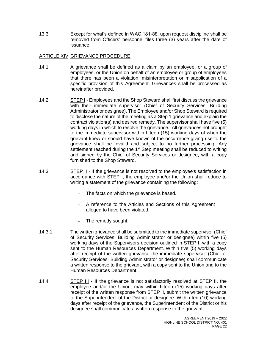13.3 Except for what's defined in WAC 181-88, upon request discipline shall be removed from Officers' personnel files three (3) years after the date of issuance.

# <span id="page-23-0"></span>ARTICLE XIV GRIEVANCE PROCEDURE

- 14.1 A grievance shall be defined as a claim by an employee, or a group of employees, or the Union on behalf of an employee or group of employees that there has been a violation, misinterpretation or misapplication of a specific provision of this Agreement. Grievances shall be processed as hereinafter provided.
- 14.2 STEP I Employees and the Shop Steward shall first discuss the grievance with their immediate supervisor (Chief of Security Services, Building Administrator or designee). The Employee and/or Shop Steward is required to disclose the nature of the meeting as a Step 1 grievance and explain the contract violation(s) and desired remedy. The supervisor shall have five (5) working days in which to resolve the grievance. All grievances not brought to the immediate supervisor within fifteen (15) working days of when the grievant knew or should have known of the occurrence giving rise to the grievance shall be invalid and subject to no further processing. Any settlement reached during the 1<sup>st</sup> Step meeting shall be reduced to writing and signed by the Chief of Security Services or designee, with a copy furnished to the Shop Steward.
- 14.3 STEP II If the grievance is not resolved to the employee's satisfaction in accordance with STEP I, the employee and/or the Union shall reduce to writing a statement of the grievance containing the following:
	- The facts on which the grievance is based.
	- A reference to the Articles and Sections of this Agreement alleged to have been violated.
	- The remedy sought.
- 14.3.1 The written grievance shall be submitted to the immediate supervisor (Chief of Security Services, Building Administrator or designee) within five (5) working days of the Supervisors decision outlined in STEP I, with a copy sent to the Human Resources Department. Within five (5) working days after receipt of the written grievance the immediate supervisor (Chief of Security Services, Building Administrator or designee) shall communicate a written response to the grievant, with a copy sent to the Union and to the Human Resources Department.
- 14.4 STEP III If the grievance is not satisfactorily resolved at STEP II, the employee and/or the Union, may within fifteen (15) working days after receipt of the written response from STEP II, submit the written grievance to the Superintendent of the District or designee. Within ten (10) working days after receipt of the grievance, the Superintendent of the District or his designee shall communicate a written response to the grievant.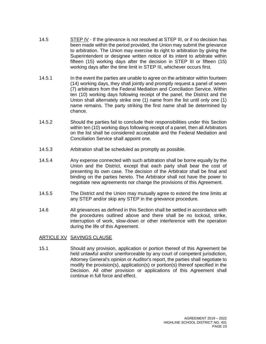- 14.5 STEP IV If the grievance is not resolved at STEP III, or if no decision has been made within the period provided, the Union may submit the grievance to arbitration. The Union may exercise its right to arbitration by giving the Superintendent or designee written notice of its intent to arbitrate within fifteen (15) working days after the decision in STEP III or fifteen (15) working days after the time limit in STEP III, whichever occurs first.
- 14.5.1 In the event the parties are unable to agree on the arbitrator within fourteen (14) working days, they shall jointly and promptly request a panel of seven (7) arbitrators from the Federal Mediation and Conciliation Service. Within ten (10) working days following receipt of the panel, the District and the Union shall alternately strike one (1) name from the list until only one (1) name remains. The party striking the first name shall be determined by chance.
- 14.5.2 Should the parties fail to conclude their responsibilities under this Section within ten (10) working days following receipt of a panel, then all Arbitrators on the list shall be considered acceptable and the Federal Mediation and Conciliation Service shall appoint one.
- 14.5.3 Arbitration shall be scheduled as promptly as possible.
- 14.5.4 Any expense connected with such arbitration shall be borne equally by the Union and the District, except that each party shall bear the cost of presenting its own case. The decision of the Arbitrator shall be final and binding on the parties hereto. The Arbitrator shall not have the power to negotiate new agreements nor change the provisions of this Agreement.
- 14.5.5 The District and the Union may mutually agree to extend the time limits at any STEP and/or skip any STEP in the grievance procedure.
- 14.6 All grievances as defined in this Section shall be settled in accordance with the procedures outlined above and there shall be no lockout, strike, interruption of work, slow-down or other interference with the operation during the life of this Agreement.

### <span id="page-24-0"></span>ARTICLE XV SAVINGS CLAUSE

<span id="page-24-1"></span>15.1 Should any provision, application or portion thereof of this Agreement be held unlawful and/or unenforceable by any court of competent jurisdiction, Attorney General's opinion or Auditor's report, the parties shall negotiate to modify the provision(s), application(s) or portion(s) thereof specified in the Decision. All other provision or applications of this Agreement shall continue in full force and effect.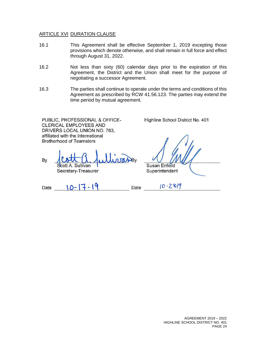#### **ARTICLE XVI DURATION CLAUSE**

- 16.1 This Agreement shall be effective September 1, 2019 excepting those provisions which denote otherwise, and shall remain in full force and effect through August 31, 2022.
- 16.2 Not less than sixty (60) calendar days prior to the expiration of this Agreement, the District and the Union shall meet for the purpose of negotiating a successor Agreement.
- 16.3 The parties shall continue to operate under the terms and conditions of this Agreement as prescribed by RCW 41.56.123. The parties may extend the time period by mutual agreement.

PUBLIC, PROFESSIONAL & OFFICE-**CLERICAL EMPLOYEES AND** DRIVERS LOCAL UNION NO. 763, affiliated with the International **Brotherhood of Teamsters** 

By ott A. Sullivan

Secretary-Treasurer

Highline School District No. 401

**Susan Enfield** Superintendent

 $10 - 28.19$ 

Date  $10 - 17 - 19$ 

Date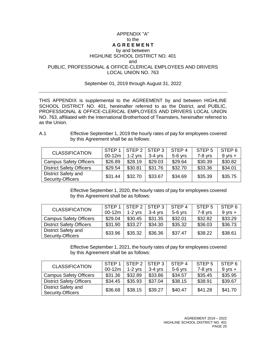### APPENDIX "A" to the **A G R E E M E N T**

# by and between HIGHLINE SCHOOL DISTRICT NO. 401 and

## <span id="page-26-0"></span>PUBLIC, PROFESSIONAL & OFFICE-CLERICAL EMPLOYEES AND DRIVERS LOCAL UNION NO. 763

#### September 01, 2019 through August 31, 2022

THIS APPENDIX is supplemental to the AGREEMENT by and between HIGHLINE SCHOOL DISTRICT NO. 401, hereinafter referred to as the District, and PUBLIC, PROFESSIONAL & OFFICE-CLERICAL EMPLOYEES AND DRIVERS LOCAL UNION NO. 763, affiliated with the International Brotherhood of Teamsters, hereinafter referred to as the Union.

| A.1 | Effective September 1, 2019 the hourly rates of pay for employees covered |
|-----|---------------------------------------------------------------------------|
|     | by this Agreement shall be as follows:                                    |

| <b>CLASSIFICATION</b>                                  | STFP <sub>1</sub> | $STEP 2$ $ISTEP 3$ |           | STEP <sub>4</sub> | STEP <sub>5</sub> | STEP 6            |
|--------------------------------------------------------|-------------------|--------------------|-----------|-------------------|-------------------|-------------------|
|                                                        | 00-12m            | $1-2$ yrs          | $3-4$ yrs | $5-6$ yrs         | $7-8$ yrs         | $9 \text{ yrs} +$ |
| <b>Campus Safety Officers</b>                          | \$26.89           | \$28.19            | \$29.03   | \$29.64           | \$30.39           | \$30.82           |
| <b>District Safety Officers</b>                        | \$29.54           | \$30.81            | \$31.76   | \$32.70           | \$33.36           | \$34.01           |
| <b>District Safety and</b><br><b>Security-Officers</b> | \$31.44           | \$32.70            | \$33.67   | \$34.69           | \$35.39           | \$35.75           |

Effective September 1, 2020, the hourly rates of pay for employees covered by this Agreement shall be as follows:

| <b>CLASSIFICATION</b>                           | STEP 1  | $STEP 2$ STEP 3 |           | STEP <sub>4</sub> | STEP <sub>5</sub> | STEP 6      |
|-------------------------------------------------|---------|-----------------|-----------|-------------------|-------------------|-------------|
|                                                 | 00-12m  | $1-2$ yrs       | $3-4$ yrs | $5-6$ yrs         | $7-8$ yrs         | $9$ yrs $+$ |
| <b>Campus Safety Officers</b>                   | \$29.04 | \$30.45         | \$31.35   | \$32.01           | \$32.82           | \$33.29     |
| <b>District Safety Officers</b>                 | \$31.90 | \$33.27         | \$34.30   | \$35.32           | \$36.03           | \$36.73     |
| <b>District Safety and</b><br>Security-Officers | \$33.96 | \$35.32         | \$36.36   | \$37.47           | \$38.22           | \$38.61     |

Effective September 1, 2021, the hourly rates of pay for employees covered by this Agreement shall be as follows:

| <b>CLASSIFICATION</b>                           | STEP <sub>1</sub><br>$00-12m$ | STEP <sub>2</sub><br>$1-2$ yrs | $\vert$ STEP 3<br>$3-4$ yrs | STEP <sub>4</sub><br>$5-6$ yrs | STEP <sub>5</sub><br>$7-8$ yrs | STEP 6<br>$9$ yrs $+$ |
|-------------------------------------------------|-------------------------------|--------------------------------|-----------------------------|--------------------------------|--------------------------------|-----------------------|
| <b>Campus Safety Officers</b>                   | \$31.36                       | \$32.89                        | \$33.86                     | \$34.57                        | \$35.45                        | \$35.95               |
| <b>District Safety Officers</b>                 | \$34.45                       | \$35.93                        | \$37.04                     | \$38.15                        | \$38.91                        | \$39.67               |
| <b>District Safety and</b><br>Security-Officers | \$36.68                       | \$38.15                        | \$39.27                     | \$40.47                        | \$41.28                        | \$41.70               |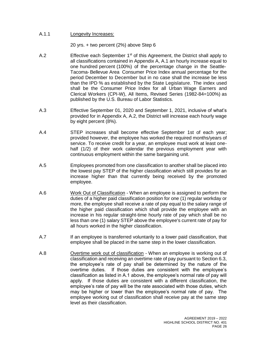#### A.1.1 Longevity Increases:

20 yrs. + two percent (2%) above Step 6

- A.2 **Effective each September 1**<sup>st</sup> of this Agreement, the District shall apply to all classifications contained in Appendix A, A.1 an hourly increase equal to one hundred percent (100%) of the percentage change in the Seattle-Tacoma- Bellevue Area Consumer Price Index annual percentage for the period December to December but in no case shall the increase be less than the IPD % as established by the State Legislature. The index used shall be the Consumer Price Index for all Urban Wage Earners and Clerical Workers (CPI-W), All Items, Revised Series (1982-84=100%) as published by the U.S. Bureau of Labor Statistics.
- A.3 Effective September 01, 2020 and September 1, 2021, inclusive of what's provided for in Appendix A, A.2, the District will increase each hourly wage by eight percent (8%).
- A.4 STEP increases shall become effective September 1st of each year; provided however, the employee has worked the required months/years of service. To receive credit for a year, an employee must work at least onehalf (1/2) of their work calendar the previous employment year with continuous employment within the same bargaining unit.
- A.5 Employees promoted from one classification to another shall be placed into the lowest pay STEP of the higher classification which still provides for an increase higher than that currently being received by the promoted employee.
- A.6 Work Out of Classification When an employee is assigned to perform the duties of a higher paid classification position for one (1) regular workday or more, the employee shall receive a rate of pay equal to the salary range of the higher paid classification which shall provide the employee with an increase in his regular straight-time hourly rate of pay which shall be no less than one (1) salary STEP above the employee's current rate of pay for all hours worked in the higher classification.
- A.7 **If an employee is transferred voluntarily to a lower paid classification, that** employee shall be placed in the same step in the lower classification.
- A.8 Overtime work out of classification When an employee is working out of classification and receiving an overtime rate of pay pursuant to Section 6.3, the employee's rate of pay shall be determined by the nature of the overtime duties. If those duties are consistent with the employee's classification as listed in A.1 above, the employee's normal rate of pay will apply. If those duties are consistent with a different classification, the employee's rate of pay will be the rate associated with those duties, which may be higher or lower than the employee's normal rate of pay. The employee working out of classification shall receive pay at the same step level as their classification.